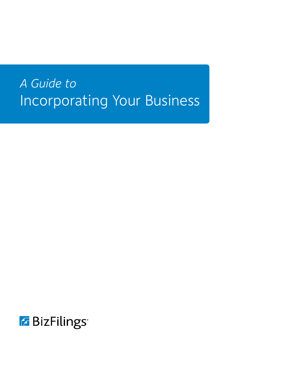# *A Guide to* Incorporating Your Business

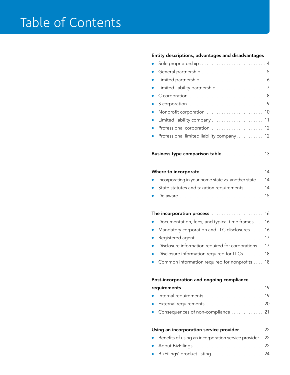#### Entity descriptions, advantages and disadvantages

| Sole proprietorship 4                                                                        |
|----------------------------------------------------------------------------------------------|
| General partnership  5                                                                       |
| $\bullet$                                                                                    |
| D                                                                                            |
| C corporation  8<br>$\bullet$                                                                |
| Scorporation9<br>$\bullet$                                                                   |
| Nonprofit corporation  10<br>D                                                               |
| $\bullet$                                                                                    |
| $\bullet$                                                                                    |
| Professional limited liability company 12                                                    |
|                                                                                              |
| Business type comparison table 13                                                            |
|                                                                                              |
|                                                                                              |
| Incorporating in your home state vs. another state 14                                        |
| State statutes and taxation requirements 14                                                  |
| Delaware  15                                                                                 |
|                                                                                              |
|                                                                                              |
| Documentation, fees, and typical time frames. 16                                             |
| Mandatory corporation and LLC disclosures 16<br>$\bullet$                                    |
|                                                                                              |
| $\bullet$<br>Disclosure information required for corporations 17                             |
|                                                                                              |
| Disclosure information required for LLCs 18<br>Common information required for nonprofits 18 |
|                                                                                              |
|                                                                                              |
| Post-incorporation and ongoing compliance                                                    |
|                                                                                              |
|                                                                                              |
|                                                                                              |
| Consequences of non-compliance  21                                                           |
|                                                                                              |
| Using an incorporation service provider. 22                                                  |

- Benefits of using an incorporation service provider. . 22
- About BizFilings ............................ 22
- BizFilings' product listing ..................... 24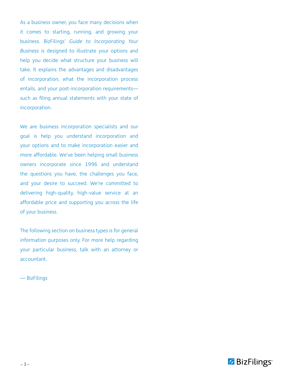As a business owner, you face many decisions when it comes to starting, running, and growing your business. BizFilings' *Guide to Incorporating Your Business* is designed to illustrate your options and help you decide what structure your business will take. It explains the advantages and disadvantages of incorporation, what the incorporation process entails, and your post-incorporation requirements such as filing annual statements with your state of incorporation.

We are business incorporation specialists and our goal is help you understand incorporation and your options and to make incorporation easier and more affordable. We've been helping small business owners incorporate since 1996 and understand the questions you have, the challenges you face, and your desire to succeed. We're committed to delivering high-quality, high-value service at an affordable price and supporting you across the life of your business.

The following section on business types is for general information purposes only. For more help regarding your particular business, talk with an attorney or accountant.

— BizFilings

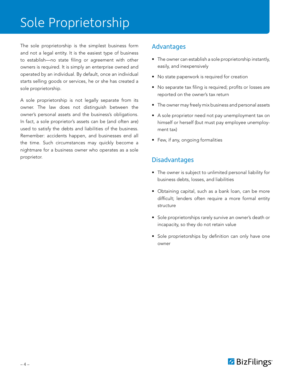## Sole Proprietorship

The sole proprietorship is the simplest business form and not a legal entity. It is the easiest type of business to establish—no state filing or agreement with other owners is required. It is simply an enterprise owned and operated by an individual. By default, once an individual starts selling goods or services, he or she has created a sole proprietorship.

A sole proprietorship is not legally separate from its owner. The law does not distinguish between the owner's personal assets and the business's obligations. In fact, a sole proprietor's assets can be (and often are) used to satisfy the debts and liabilities of the business. Remember: accidents happen, and businesses end all the time. Such circumstances may quickly become a nightmare for a business owner who operates as a sole proprietor.

## Advantages

- The owner can establish a sole proprietorship instantly, easily, and inexpensively
- No state paperwork is required for creation
- No separate tax filing is required; profits or losses are reported on the owner's tax return
- The owner may freely mix business and personal assets
- A sole proprietor need not pay unemployment tax on himself or herself (but must pay employee unemployment tax)
- Few, if any, ongoing formalities

- The owner is subject to unlimited personal liability for business debts, losses, and liabilities
- Obtaining capital, such as a bank loan, can be more difficult; lenders often require a more formal entity structure
- Sole proprietorships rarely survive an owner's death or incapacity, so they do not retain value
- Sole proprietorships by definition can only have one owner

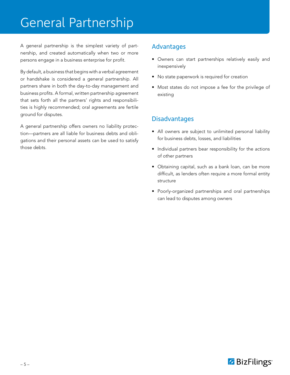## General Partnership

A general partnership is the simplest variety of partnership, and created automatically when two or more persons engage in a business enterprise for profit.

By default, a business that begins with a verbal agreement or handshake is considered a general partnership. All partners share in both the day-to-day management and business profits. A formal, written partnership agreement that sets forth all the partners' rights and responsibilities is highly recommended; oral agreements are fertile ground for disputes.

A general partnership offers owners no liability protection—partners are all liable for business debts and obligations and their personal assets can be used to satisfy those debts.

### Advantages

- Owners can start partnerships relatively easily and inexpensively
- No state paperwork is required for creation
- Most states do not impose a fee for the privilege of existing

- All owners are subject to unlimited personal liability for business debts, losses, and liabilities
- Individual partners bear responsibility for the actions of other partners
- Obtaining capital, such as a bank loan, can be more difficult, as lenders often require a more formal entity structure
- Poorly-organized partnerships and oral partnerships can lead to disputes among owners

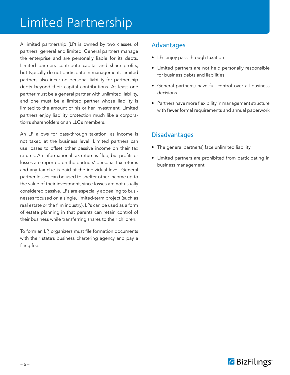## Limited Partnership

A limited partnership (LP) is owned by two classes of partners: general and limited. General partners manage the enterprise and are personally liable for its debts. Limited partners contribute capital and share profits, but typically do not participate in management. Limited partners also incur no personal liability for partnership debts beyond their capital contributions. At least one partner must be a general partner with unlimited liability, and one must be a limited partner whose liability is limited to the amount of his or her investment. Limited partners enjoy liability protection much like a corporation's shareholders or an LLC's members.

An LP allows for pass-through taxation, as income is not taxed at the business level. Limited partners can use losses to offset other passive income on their tax returns. An informational tax return is filed, but profits or losses are reported on the partners' personal tax returns and any tax due is paid at the individual level. General partner losses can be used to shelter other income up to the value of their investment, since losses are not usually considered passive. LPs are especially appealing to businesses focused on a single, limited-term project (such as real estate or the film industry). LPs can be used as a form of estate planning in that parents can retain control of their business while transferring shares to their children.

To form an LP, organizers must file formation documents with their state's business chartering agency and pay a filing fee.

## Advantages

- LPs enjoy pass-through taxation
- Limited partners are not held personally responsible for business debts and liabilities
- General partner(s) have full control over all business decisions
- Partners have more flexibility in management structure with fewer formal requirements and annual paperwork

- The general partner(s) face unlimited liability
- Limited partners are prohibited from participating in business management

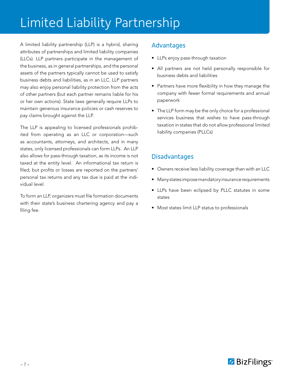# Limited Liability Partnership

A limited liability partnership (LLP) is a hybrid, sharing attributes of partnerships and limited liability companies (LLCs). LLP partners participate in the management of the business, as in general partnerships, and the personal assets of the partners typically cannot be used to satisfy business debts and liabilities, as in an LLC. LLP partners may also enjoy personal liability protection from the acts of other partners (but each partner remains liable for his or her own actions). State laws generally require LLPs to maintain generous insurance policies or cash reserves to pay claims brought against the LLP.

The LLP is appealing to licensed professionals prohibited from operating as an LLC or corporation—such as accountants, attorneys, and architects, and in many states, only licensed professionals can form LLPs. An LLP also allows for pass-through taxation, as its income is not taxed at the entity level. An informational tax return is filed, but profits or losses are reported on the partners' personal tax returns and any tax due is paid at the individual level.

To form an LLP, organizers must file formation documents with their state's business chartering agency and pay a filing fee.

## Advantages

- LLPs enjoy pass-through taxation
- All partners are not held personally responsible for business debts and liabilities
- Partners have more flexibility in how they manage the company with fewer formal requirements and annual paperwork
- The LLP form may be the only choice for a professional services business that wishes to have pass-through taxation in states that do not allow professional limited liability companies (PLLCs)

- Owners receive less liability coverage than with an LLC
- Many states impose mandatory insurance requirements
- LLPs have been eclipsed by PLLC statutes in some states
- Most states limit LLP status to professionals

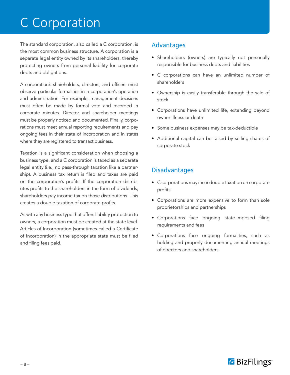## C Corporation

The standard corporation, also called a C corporation, is the most common business structure. A corporation is a separate legal entity owned by its shareholders, thereby protecting owners from personal liability for corporate debts and obligations.

A corporation's shareholders, directors, and officers must observe particular formalities in a corporation's operation and administration. For example, management decisions must often be made by formal vote and recorded in corporate minutes. Director and shareholder meetings must be properly noticed and documented. Finally, corporations must meet annual reporting requirements and pay ongoing fees in their state of incorporation and in states where they are registered to transact business.

Taxation is a significant consideration when choosing a business type, and a C corporation is taxed as a separate legal entity (i.e., no pass-through taxation like a partnership). A business tax return is filed and taxes are paid on the corporation's profits. If the corporation distributes profits to the shareholders in the form of dividends, shareholders pay income tax on those distributions. This creates a double taxation of corporate profits.

As with any business type that offers liability protection to owners, a corporation must be created at the state level. Articles of Incorporation (sometimes called a Certificate of Incorporation) in the appropriate state must be filed and filing fees paid.

## Advantages

- Shareholders (owners) are typically not personally responsible for business debts and liabilities
- C corporations can have an unlimited number of shareholders
- Ownership is easily transferable through the sale of stock
- Corporations have unlimited life, extending beyond owner illness or death
- Some business expenses may be tax-deductible
- Additional capital can be raised by selling shares of corporate stock

- C corporations may incur double taxation on corporate profits
- Corporations are more expensive to form than sole proprietorships and partnerships
- Corporations face ongoing state-imposed filing requirements and fees
- Corporations face ongoing formalities, such as holding and properly documenting annual meetings of directors and shareholders

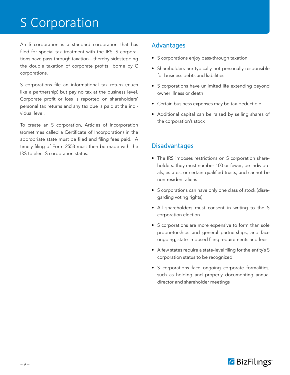## S Corporation

An S corporation is a standard corporation that has filed for special tax treatment with the IRS. S corporations have pass-through taxation—thereby sidestepping the double taxation of corporate profits borne by C corporations.

S corporations file an informational tax return (much like a partnership) but pay no tax at the business level. Corporate profit or loss is reported on shareholders' personal tax returns and any tax due is paid at the individual level.

To create an S corporation, Articles of Incorporation (sometimes called a Certificate of Incorporation) in the appropriate state must be filed and filing fees paid. A timely filing of Form 2553 must then be made with the IRS to elect S corporation status.

## Advantages

- S corporations enjoy pass-through taxation
- Shareholders are typically not personally responsible for business debts and liabilities
- S corporations have unlimited life extending beyond owner illness or death
- Certain business expenses may be tax-deductible
- Additional capital can be raised by selling shares of the corporation's stock

- The IRS imposes restrictions on S corporation shareholders: they must number 100 or fewer; be individuals, estates, or certain qualified trusts; and cannot be non-resident aliens
- S corporations can have only one class of stock (disregarding voting rights)
- All shareholders must consent in writing to the S corporation election
- S corporations are more expensive to form than sole proprietorships and general partnerships, and face ongoing, state-imposed filing requirements and fees
- A few states require a state-level filing for the entity's S corporation status to be recognized
- S corporations face ongoing corporate formalities, such as holding and properly documenting annual director and shareholder meetings

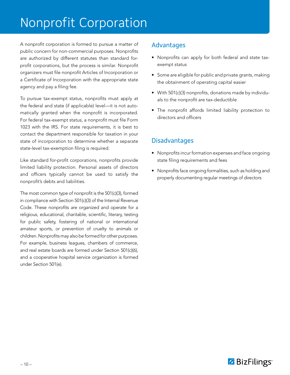## Nonprofit Corporation

A nonprofit corporation is formed to pursue a matter of public concern for non-commercial purposes. Nonprofits are authorized by different statutes than standard forprofit corporations, but the process is similar. Nonprofit organizers must file nonprofit Articles of Incorporation or a Certificate of Incorporation with the appropriate state agency and pay a filing fee.

To pursue tax-exempt status, nonprofits must apply at the federal and state (if applicable) level—it is not automatically granted when the nonprofit is incorporated. For federal tax-exempt status, a nonprofit must file Form 1023 with the IRS. For state requirements, it is best to contact the department responsible for taxation in your state of incorporation to determine whether a separate state-level tax-exemption filing is required.

Like standard for-profit corporations, nonprofits provide limited liability protection. Personal assets of directors and officers typically cannot be used to satisfy the nonprofit's debts and liabilities.

The most common type of nonprofit is the 501(c)(3), formed in compliance with Section 501(c)(3) of the Internal Revenue Code. These nonprofits are organized and operate for a religious, educational, charitable, scientific, literary, testing for public safety, fostering of national or international amateur sports, or prevention of cruelty to animals or children. Nonprofits may also be formed for other purposes. For example, business leagues, chambers of commerce, and real estate boards are formed under Section 501(c)(6), and a cooperative hospital service organization is formed under Section 501(e).

## Advantages

- Nonprofits can apply for both federal and state taxexempt status
- Some are eligible for public and private grants, making the obtainment of operating capital easier
- With 501(c)(3) nonprofits, donations made by individuals to the nonprofit are tax-deductible
- The nonprofit affords limited liability protection to directors and officers

- Nonprofits incur formation expenses and face ongoing state filing requirements and fees
- Nonprofits face ongoing formalities, such as holding and properly documenting regular meetings of directors

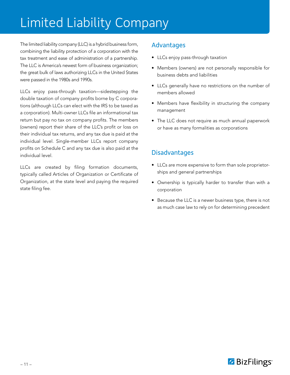# Limited Liability Company

The limited liability company (LLC) is a hybrid business form, combining the liability protection of a corporation with the tax treatment and ease of administration of a partnership. The LLC is America's newest form of business organization; the great bulk of laws authorizing LLCs in the United States were passed in the 1980s and 1990s.

LLCs enjoy pass-through taxation—sidestepping the double taxation of company profits borne by C corporations (although LLCs can elect with the IRS to be taxed as a corporation). Multi-owner LLCs file an informational tax return but pay no tax on company profits. The members (owners) report their share of the LLC's profit or loss on their individual tax returns, and any tax due is paid at the individual level. Single-member LLCs report company profits on Schedule C and any tax due is also paid at the individual level.

LLCs are created by filing formation documents, typically called Articles of Organization or Certificate of Organization, at the state level and paying the required state filing fee.

## Advantages

- LLCs enjoy pass-through taxation
- Members (owners) are not personally responsible for business debts and liabilities
- LLCs generally have no restrictions on the number of members allowed
- Members have flexibility in structuring the company management
- The LLC does not require as much annual paperwork or have as many formalities as corporations

- LLCs are more expensive to form than sole proprietorships and general partnerships
- Ownership is typically harder to transfer than with a corporation
- Because the LLC is a newer business type, there is not as much case law to rely on for determining precedent

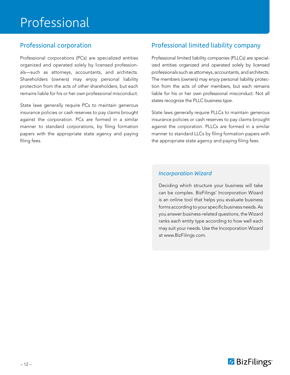## Professional

## Professional corporation

Professional corporations (PCs) are specialized entities organized and operated solely by licensed professionals—such as attorneys, accountants, and architects. Shareholders (owners) may enjoy personal liability protection from the acts of other shareholders, but each remains liable for his or her own professional misconduct.

State laws generally require PCs to maintain generous insurance policies or cash reserves to pay claims brought against the corporation. PCs are formed in a similar manner to standard corporations, by filing formation papers with the appropriate state agency and paying filing fees.

## Professional limited liability company

Professional limited liability companies (PLLCs) are specialized entities organized and operated solely by licensed professionals such as attorneys, accountants, and architects. The members (owners) may enjoy personal liability protection from the acts of other members, but each remains liable for his or her own professional misconduct. Not all states recognize the PLLC business type.

State laws generally require PLLCs to maintain generous insurance policies or cash reserves to pay claims brought against the corporation. PLLCs are formed in a similar manner to standard LLCs by filing formation papers with the appropriate state agency and paying filing fees.

### *Incorporation Wizard*

Deciding which structure your business will take can be complex. BizFilings' Incorporation Wizard is an online tool that helps you evaluate business forms according to your specific business needs. As you answer business-related questions, the Wizard ranks each entity type according to how well each may suit your needs. Use the Incorporation Wizard at www.BizFilings.com.

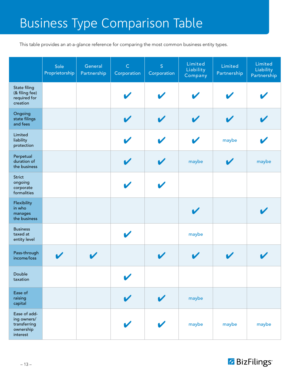# Business Type Comparison Table

This table provides an at-a-glance reference for comparing the most common business entity types.

|                                                                      | Sole<br>Proprietorship | General<br>Partnership | $\mathsf{C}$<br>Corporation | S<br>Corporation | Limited<br>Liability<br>Company | Limited<br>Partnership | Limited<br>Liability<br>Partnership |
|----------------------------------------------------------------------|------------------------|------------------------|-----------------------------|------------------|---------------------------------|------------------------|-------------------------------------|
| State filing<br>(& filing fee)<br>required for<br>creation           |                        |                        |                             |                  |                                 |                        |                                     |
| Ongoing<br>state filings<br>and fees                                 |                        |                        |                             |                  | $\blacktriangleright$           |                        |                                     |
| Limited<br>liability<br>protection                                   |                        |                        |                             |                  |                                 | maybe                  |                                     |
| Perpetual<br>duration of<br>the business                             |                        |                        |                             |                  | maybe                           | V                      | maybe                               |
| Strict<br>ongoing<br>corporate<br>formalities                        |                        |                        |                             |                  |                                 |                        |                                     |
| Flexibility<br>in who<br>manages<br>the business                     |                        |                        |                             |                  | $\overline{\mathbf{v}}$         |                        |                                     |
| <b>Business</b><br>taxed at<br>entity level                          |                        |                        |                             |                  | maybe                           |                        |                                     |
| Pass-through<br>income/loss                                          |                        | $\blacktriangledown$   |                             |                  | V                               |                        |                                     |
| Double<br>taxation                                                   |                        |                        |                             |                  |                                 |                        |                                     |
| Ease of<br>raising<br>capital                                        |                        |                        |                             |                  | maybe                           |                        |                                     |
| Ease of add-<br>ing owners/<br>transferring<br>ownership<br>interest |                        |                        |                             |                  | maybe                           | maybe                  | maybe                               |

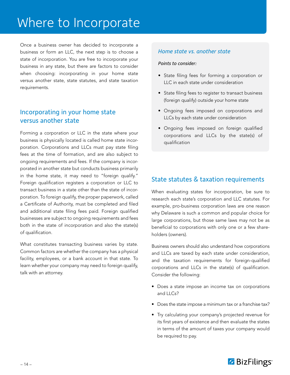## Where to Incorporate

Once a business owner has decided to incorporate a business or form an LLC, the next step is to choose a state of incorporation. You are free to incorporate your business in any state, but there are factors to consider when choosing: incorporating in your home state versus another state, state statutes, and state taxation requirements.

## Incorporating in your home state versus another state

Forming a corporation or LLC in the state where your business is physically located is called home state incorporation. Corporations and LLCs must pay state filing fees at the time of formation, and are also subject to ongoing requirements and fees. If the company is incorporated in another state but conducts business primarily in the home state, it may need to "foreign qualify." Foreign qualification registers a corporation or LLC to transact business in a state other than the state of incorporation. To foreign qualify, the proper paperwork, called a Certificate of Authority, must be completed and filed and additional state filing fees paid. Foreign qualified businesses are subject to ongoing requirements and fees both in the state of incorporation and also the state(s) of qualification.

What constitutes transacting business varies by state. Common factors are whether the company has a physical facility, employees, or a bank account in that state. To learn whether your company may need to foreign qualify, talk with an attorney.

#### *Home state vs. another state*

#### *Points to consider:*

- State filing fees for forming a corporation or LLC in each state under consideration
- State filing fees to register to transact business (foreign qualify) outside your home state
- Ongoing fees imposed on corporations and LLCs by each state under consideration
- Ongoing fees imposed on foreign qualified corporations and LLCs by the state(s) of qualification

## State statutes & taxation requirements

When evaluating states for incorporation, be sure to research each state's corporation and LLC statutes. For example, pro-business corporation laws are one reason why Delaware is such a common and popular choice for large corporations, but those same laws may not be as beneficial to corporations with only one or a few shareholders (owners).

Business owners should also understand how corporations and LLCs are taxed by each state under consideration, and the taxation requirements for foreign-qualified corporations and LLCs in the state(s) of qualification. Consider the following:

- Does a state impose an income tax on corporations and LLCs?
- Does the state impose a minimum tax or a franchise tax?
- Try calculating your company's projected revenue for its first years of existence and then evaluate the states in terms of the amount of taxes your company would be required to pay.

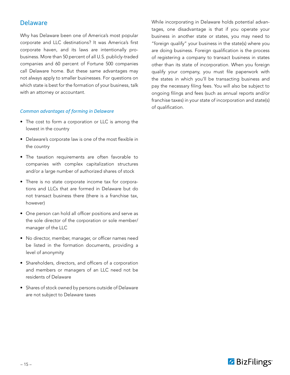### **Delaware**

Why has Delaware been one of America's most popular corporate and LLC destinations? It was America's first corporate haven, and its laws are intentionally probusiness. More than 50 percent of all U.S. publicly-traded companies and 60 percent of Fortune 500 companies call Delaware home. But these same advantages may not always apply to smaller businesses. For questions on which state is best for the formation of your business, talk with an attorney or accountant.

#### *Common advantages of forming in Delaware*

- The cost to form a corporation or LLC is among the lowest in the country
- Delaware's corporate law is one of the most flexible in the country
- The taxation requirements are often favorable to companies with complex capitalization structures and/or a large number of authorized shares of stock
- There is no state corporate income tax for corporations and LLCs that are formed in Delaware but do not transact business there (there is a franchise tax, however)
- One person can hold all officer positions and serve as the sole director of the corporation or sole member/ manager of the LLC
- No director, member, manager, or officer names need be listed in the formation documents, providing a level of anonymity
- Shareholders, directors, and officers of a corporation and members or managers of an LLC need not be residents of Delaware
- Shares of stock owned by persons outside of Delaware are not subject to Delaware taxes

While incorporating in Delaware holds potential advantages, one disadvantage is that if you operate your business in another state or states, you may need to "foreign qualify" your business in the state(s) where you are doing business. Foreign qualification is the process of registering a company to transact business in states other than its state of incorporation. When you foreign qualify your company, you must file paperwork with the states in which you'll be transacting business and pay the necessary filing fees. You will also be subject to ongoing filings and fees (such as annual reports and/or franchise taxes) in your state of incorporation and state(s) of qualification.

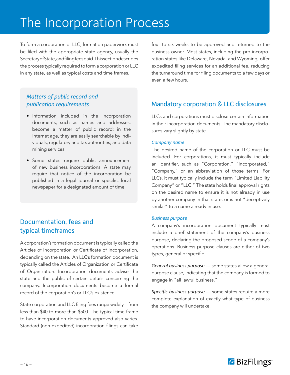## The Incorporation Process

To form a corporation or LLC, formation paperwork must be filed with the appropriate state agency, usually the Secretary of State, and filing fees paid. This section describes the process typically required to form a corporation or LLC in any state, as well as typical costs and time frames.

### *Matters of public record and publication requirements*

- Information included in the incorporation documents, such as names and addresses, become a matter of public record; in the Internet age, they are easily searchable by individuals, regulatory and tax authorities, and data mining services.
- Some states require public announcement of new business incorporations. A state may require that notice of the incorporation be published in a legal journal or specific, local newspaper for a designated amount of time.

## Documentation, fees and typical timeframes

A corporation's formation document is typically called the Articles of Incorporation or Certificate of Incorporation, depending on the state. An LLC's formation document is typically called the Articles of Organization or Certificate of Organization. Incorporation documents advise the state and the public of certain details concerning the company. Incorporation documents become a formal record of the corporation's or LLC's existence.

State corporation and LLC filing fees range widely—from less than \$40 to more than \$500. The typical time frame to have incorporation documents approved also varies. Standard (non-expedited) incorporation filings can take

four to six weeks to be approved and returned to the business owner. Most states, including the pro-incorporation states like Delaware, Nevada, and Wyoming, offer expedited filing services for an additional fee, reducing the turnaround time for filing documents to a few days or even a few hours.

## Mandatory corporation & LLC disclosures

LLCs and corporations must disclose certain information in their incorporation documents. The mandatory disclosures vary slightly by state.

#### *Company name*

The desired name of the corporation or LLC must be included. For corporations, it must typically include an identifier, such as "Corporation," "Incorporated," "Company," or an abbreviation of those terms. For LLCs, it must typically include the term "Limited Liability Company" or "LLC." The state holds final approval rights on the desired name to ensure it is not already in use by another company in that state, or is not "deceptively similar" to a name already in use.

#### *Business purpose*

A company's incorporation document typically must include a brief statement of the company's business purpose, declaring the proposed scope of a company's operations. Business purpose clauses are either of two types, general or specific.

*General business purpose* — some states allow a general purpose clause, indicating that the company is formed to engage in "all lawful business."

*Specific business purpose* — some states require a more complete explanation of exactly what type of business the company will undertake.

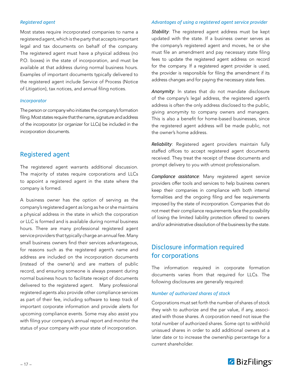#### *Registered agent*

Most states require incorporated companies to name a registered agent, which is the party that accepts important legal and tax documents on behalf of the company. The registered agent must have a physical address (no P.O. boxes) in the state of incorporation, and must be available at that address during normal business hours. Examples of important documents typically delivered to the registered agent include Service of Process (Notice of Litigation), tax notices, and annual filing notices.

#### *Incorporator*

The person or company who initiates the company's formation filing. Most states require that the name, signature and address of the incorporator (or organizer for LLCs) be included in the incorporation documents.

#### Registered agent

The registered agent warrants additional discussion. The majority of states require corporations and LLCs to appoint a registered agent in the state where the company is formed.

A business owner has the option of serving as the company's registered agent as long as he or she maintains a physical address in the state in which the corporation or LLC is formed and is available during normal business hours. There are many professional registered agent service providers that typically charge an annual fee. Many small business owners find their services advantageous, for reasons such as the registered agent's name and address are included on the incorporation documents (instead of the owner's) and are matters of public record, and ensuring someone is always present during normal business hours to facilitate receipt of documents delivered to the registered agent. Many professional registered agents also provide other compliance services as part of their fee, including software to keep track of important corporate information and provide alerts for upcoming compliance events. Some may also assist you with filing your company's annual report and monitor the status of your company with your state of incorporation.

#### *Advantages of using a registered agent service provider*

*Stability*: The registered agent address must be kept updated with the state. If a business owner serves as the company's registered agent and moves, he or she must file an amendment and pay necessary state filing fees to update the registered agent address on record for the company. If a registered agent provider is used, the provider is responsible for filing the amendment if its address changes and for paying the necessary state fees.

*Anonymity*: In states that do not mandate disclosure of the company's legal address, the registered agent's address is often the only address disclosed to the public, giving anonymity to company owners and managers. This is also a benefit for home-based businesses, since the registered agent address will be made public, not the owner's home address.

*Reliability*: Registered agent providers maintain fully staffed offices to accept registered agent documents received. They treat the receipt of these documents and prompt delivery to you with utmost professionalism.

*Compliance assistance*: Many registered agent service providers offer tools and services to help business owners keep their companies in compliance with both internal formalities and the ongoing filing and fee requirements imposed by the state of incorporation. Companies that do not meet their compliance requirements face the possibility of losing the limited liability protection offered to owners and/or administrative dissolution of the business by the state.

## Disclosure information required for corporations

The information required in corporate formation documents varies from that required for LLCs. The following disclosures are generally required:

#### *Number of authorized shares of stock*

Corporations must set forth the number of shares of stock they wish to authorize and the par value, if any, associated with those shares. A corporation need not issue the total number of authorized shares. Some opt to withhold unissued shares in order to add additional owners at a later date or to increase the ownership percentage for a current shareholder.

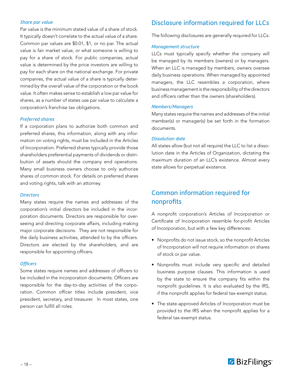#### *Share par value*

Par value is the minimum stated value of a share of stock. It typically doesn't correlate to the actual value of a share. Common par values are \$0.01, \$1, or no par. The actual value is fair market value, or what someone is willing to pay for a share of stock. For public companies, actual value is determined by the price investors are willing to pay for each share on the national exchange. For private companies, the actual value of a share is typically determined by the overall value of the corporation or the book value. It often makes sense to establish a low par value for shares, as a number of states use par value to calculate a corporation's franchise tax obligations.

#### *Preferred shares*

If a corporation plans to authorize both common and preferred shares, this information, along with any information on voting rights, must be included in the Articles of Incorporation. Preferred shares typically provide those shareholders preferential payments of dividends or distribution of assets should the company end operations. Many small business owners choose to only authorize shares of common stock. For details on preferred shares and voting rights, talk with an attorney.

#### *Directors*

Many states require the names and addresses of the corporation's initial directors be included in the incorporation documents. Directors are responsible for overseeing and directing corporate affairs, including making major corporate decisions. They are not responsible for the daily business activities, attended to by the officers. Directors are elected by the shareholders, and are responsible for appointing officers.

#### **Officers**

Some states require names and addresses of officers to be included in the incorporation documents. Officers are responsible for the day-to-day activities of the corporation. Common officer titles include president, vice president, secretary, and treasurer. In most states, one person can fulfill all roles.

## Disclosure information required for LLCs

The following disclosures are generally required for LLCs:

#### *Management structure*

LLCs must typically specify whether the company will be managed by its members (owners) or by managers. When an LLC is managed by members, owners oversee daily business operations. When managed by appointed managers, the LLC resembles a corporation, where business management is the responsibility of the directors and officers rather than the owners (shareholders).

#### *Members/Managers*

Many states require the names and addresses of the initial member(s) or manager(s) be set forth in the formation documents.

#### *Dissolution date*

All states allow (but not all require) the LLC to list a dissolution date in the Articles of Organization, dictating the maximum duration of an LLC's existence. Almost every state allows for perpetual existence.

## Common information required for nonprofits

A nonprofit corporation's Articles of Incorporation or Certificate of Incorporation resemble for-profit Articles of Incorporation, but with a few key differences:

- Nonprofits do not issue stock, so the nonprofit Articles of Incorporation will not require information on shares of stock or par value.
- Nonprofits must include very specific and detailed business purpose clauses. This information is used by the state to ensure the company fits within the nonprofit guidelines. It is also evaluated by the IRS, if the nonprofit applies for federal tax-exempt status.
- The state-approved Articles of Incorporation must be provided to the IRS when the nonprofit applies for a federal tax-exempt status.

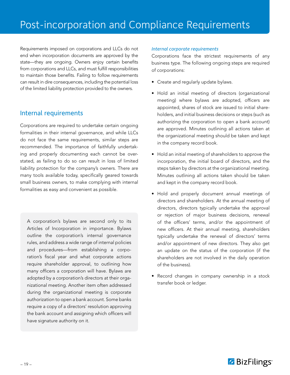## Post-incorporation and Compliance Requirements

Requirements imposed on corporations and LLCs do not end when incorporation documents are approved by the state—they are ongoing. Owners enjoy certain benefits from corporations and LLCs, and must fulfill responsibilities to maintain those benefits. Failing to follow requirements can result in dire consequences, including the potential loss of the limited liability protection provided to the owners.

### Internal requirements

Corporations are required to undertake certain ongoing formalities in their internal governance, and while LLCs do not face the same requirements, similar steps are recommended. The importance of faithfully undertaking and properly documenting each cannot be overstated, as failing to do so can result in loss of limited liability protection for the company's owners. There are many tools available today, specifically geared towards small business owners, to make complying with internal formalities as easy and convenient as possible.

A corporation's bylaws are second only to its Articles of Incorporation in importance. Bylaws outline the corporation's internal governance rules, and address a wide range of internal policies and procedures—from establishing a corporation's fiscal year and what corporate actions require shareholder approval, to outlining how many officers a corporation will have. Bylaws are adopted by a corporation's directors at their organizational meeting. Another item often addressed during the organizational meeting is corporate authorization to open a bank account. Some banks require a copy of a directors' resolution approving the bank account and assigning which officers will have signature authority on it.

#### *Internal corporate requirements*

Corporations face the strictest requirements of any business type. The following ongoing steps are required of corporations:

- Create and regularly update bylaws.
- Hold an initial meeting of directors (organizational meeting) where bylaws are adopted, officers are appointed, shares of stock are issued to initial shareholders, and initial business decisions or steps (such as authorizing the corporation to open a bank account) are approved. Minutes outlining all actions taken at the organizational meeting should be taken and kept in the company record book.
- Hold an initial meeting of shareholders to approve the incorporation, the initial board of directors, and the steps taken by directors at the organizational meeting. Minutes outlining all actions taken should be taken and kept in the company record book.
- Hold and properly document annual meetings of directors and shareholders. At the annual meeting of directors, directors typically undertake the approval or rejection of major business decisions, renewal of the officers' terms, and/or the appointment of new officers. At their annual meeting, shareholders typically undertake the renewal of directors' terms and/or appointment of new directors. They also get an update on the status of the corporation (if the shareholders are not involved in the daily operation of the business).
- Record changes in company ownership in a stock transfer book or ledger.

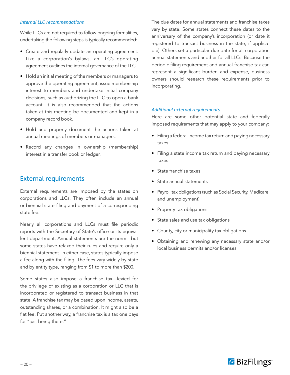#### *Internal LLC recommendations*

While LLCs are not required to follow ongoing formalities, undertaking the following steps is typically recommended:

- Create and regularly update an operating agreement. Like a corporation's bylaws, an LLC's operating agreement outlines the internal governance of the LLC.
- Hold an initial meeting of the members or managers to approve the operating agreement, issue membership interest to members and undertake initial company decisions, such as authorizing the LLC to open a bank account. It is also recommended that the actions taken at this meeting be documented and kept in a company record book.
- Hold and properly document the actions taken at annual meetings of members or managers.
- Record any changes in ownership (membership) interest in a transfer book or ledger.

### External requirements

External requirements are imposed by the states on corporations and LLCs. They often include an annual or biennial state filing and payment of a corresponding state fee.

Nearly all corporations and LLCs must file periodic reports with the Secretary of State's office or its equivalent department. Annual statements are the norm—but some states have relaxed their rules and require only a biennial statement. In either case, states typically impose a fee along with the filing. The fees vary widely by state and by entity type, ranging from \$1 to more than \$200.

Some states also impose a franchise tax—levied for the privilege of existing as a corporation or LLC that is incorporated or registered to transact business in that state. A franchise tax may be based upon income, assets, outstanding shares, or a combination. It might also be a flat fee. Put another way, a franchise tax is a tax one pays for "just being there."

The due dates for annual statements and franchise taxes vary by state. Some states connect these dates to the anniversary of the company's incorporation (or date it registered to transact business in the state, if applicable). Others set a particular due date for all corporation annual statements and another for all LLCs. Because the periodic filing requirement and annual franchise tax can represent a significant burden and expense, business owners should research these requirements prior to incorporating.

#### *Additional external requirements*

Here are some other potential state and federally imposed requirements that may apply to your company:

- Filing a federal income tax return and paying necessary taxes
- Filing a state income tax return and paying necessary taxes
- State franchise taxes
- State annual statements
- Payroll tax obligations (such as Social Security, Medicare, and unemployment)
- Property tax obligations
- State sales and use tax obligations
- County, city or municipality tax obligations
- Obtaining and renewing any necessary state and/or local business permits and/or licenses

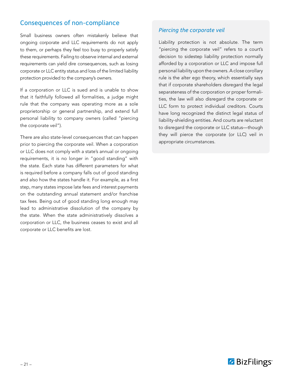## Consequences of non-compliance

Small business owners often mistakenly believe that ongoing corporate and LLC requirements do not apply to them, or perhaps they feel too busy to properly satisfy these requirements. Failing to observe internal and external requirements can yield dire consequences, such as losing corporate or LLC entity status and loss of the limited liability protection provided to the company's owners.

If a corporation or LLC is sued and is unable to show that it faithfully followed all formalities, a judge might rule that the company was operating more as a sole proprietorship or general partnership, and extend full personal liability to company owners (called "piercing the corporate veil").

There are also state-level consequences that can happen prior to piercing the corporate veil. When a corporation or LLC does not comply with a state's annual or ongoing requirements, it is no longer in "good standing" with the state. Each state has different parameters for what is required before a company falls out of good standing and also how the states handle it. For example, as a first step, many states impose late fees and interest payments on the outstanding annual statement and/or franchise tax fees. Being out of good standing long enough may lead to administrative dissolution of the company by the state. When the state administratively dissolves a corporation or LLC, the business ceases to exist and all corporate or LLC benefits are lost.

#### *Piercing the corporate veil*

Liability protection is not absolute. The term "piercing the corporate veil" refers to a court's decision to sidestep liability protection normally afforded by a corporation or LLC and impose full personal liability upon the owners. A close corollary rule is the alter ego theory, which essentially says that if corporate shareholders disregard the legal separateness of the corporation or proper formalities, the law will also disregard the corporate or LLC form to protect individual creditors. Courts have long recognized the distinct legal status of liability-shielding entities. And courts are reluctant to disregard the corporate or LLC status—though they will pierce the corporate (or LLC) veil in appropriate circumstances.

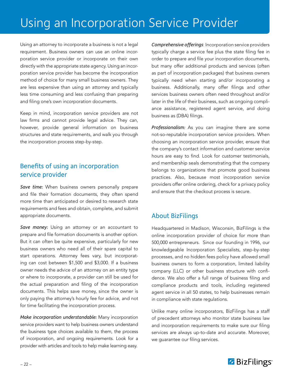## Using an Incorporation Service Provider

Using an attorney to incorporate a business is not a legal requirement. Business owners can use an online incorporation service provider or incorporate on their own directly with the appropriate state agency. Using an incorporation service provider has become the incorporation method of choice for many small business owners. They are less expensive than using an attorney and typically less time consuming and less confusing than preparing and filing one's own incorporation documents.

Keep in mind, incorporation service providers are not law firms and cannot provide legal advice. They can, however, provide general information on business structures and state requirements, and walk you through the incorporation process step-by-step.

## Benefits of using an incorporation service provider

*Save time:* When business owners personally prepare and file their formation documents, they often spend more time than anticipated or desired to research state requirements and fees and obtain, complete, and submit appropriate documents.

*Save money:* Using an attorney or an accountant to prepare and file formation documents is another option. But it can often be quite expensive, particularly for new business owners who need all of their spare capital to start operations. Attorney fees vary, but incorporating can cost between \$1,500 and \$3,000. If a business owner needs the advice of an attorney on an entity type or where to incorporate, a provider can still be used for the actual preparation and filing of the incorporation documents. This helps save money, since the owner is only paying the attorney's hourly fee for advice, and not for time facilitating the incorporation process.

*Make incorporation understandable:* Many incorporation service providers want to help business owners understand the business type choices available to them, the process of incorporation, and ongoing requirements. Look for a provider with articles and tools to help make learning easy.

**Comprehensive offerings:** Incorporation service providers typically charge a service fee plus the state filing fee in order to prepare and file your incorporation documents, but many offer additional products and services (often as part of incorporation packages) that business owners typically need when starting and/or incorporating a business. Additionally, many offer filings and other services business owners often need throughout and/or later in the life of their business, such as ongoing compliance assistance, registered agent service, and doing business as (DBA) filings.

*Professionalism:* As you can imagine there are some not-so-reputable incorporation service providers. When choosing an incorporation service provider, ensure that the company's contact information and customer service hours are easy to find. Look for customer testimonials, and membership seals demonstrating that the company belongs to organizations that promote good business practices. Also, because most incorporation service providers offer online ordering, check for a privacy policy and ensure that the checkout process is secure.

### About BizFilings

Headquartered in Madison, Wisconsin, BizFilings is the online incorporation provider of choice for more than 500,000 entrepreneurs. Since our founding in 1996, our knowledgeable Incorporation Specialists, step-by-step processes, and no hidden fees policy have allowed small business owners to form a corporation, limited liability company (LLC) or other business structure with confidence. We also offer a full range of business filing and compliance products and tools, including registered agent service in all 50 states, to help businesses remain in compliance with state regulations.

Unlike many online incorporators, BizFilings has a staff of precedent attorneys who monitor state business law and incorporation requirements to make sure our filing services are always up-to-date and accurate. Moreover, we guarantee our filing services.

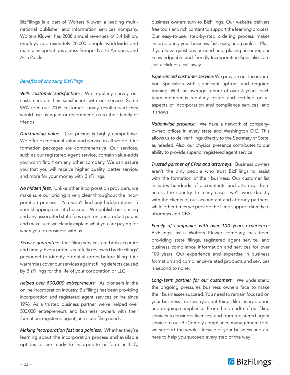BizFilings is a part of Wolters Kluwer, a leading multinational publisher and information services company. Wolters Kluwer has 2008 annual revenues of 3.4 billion, employs approximately 20,000 people worldwide and maintains operations across Europe, North America, and Asia Pacific.

#### *Benefits of choosing BizFilings*

*96% customer satisfaction:* We regularly survey our customers on their satisfaction with our service. Some 96% (per our 2009 customer survey results) said they would use us again or recommend us to their family or friends.

*Outstanding value:* Our pricing is highly competitive. We offer exceptional value and service in all we do. Our formation packages are comprehensive. Our services, such as our registered agent service, contain value-adds you won't find from any other company. We can assure you that you will receive higher quality, better service, and more for your money with BizFilings.

*No hidden fees:* Unlike other incorporation providers, we make sure our pricing is very clear throughout the incorporation process. You won't find any hidden items in your shopping cart at checkout. We publish our pricing and any associated state fees right on our product pages and make sure we clearly explain what you are paying for when you do business with us.

*Service guarantee:* Our filing services are both accurate and timely. Every order is carefully reviewed by BizFilings' personnel to identify potential errors before filing. Our warranties cover our services against filing defects caused by BizFilings for the life of your corporation or LLC.

*Helped over 500,000 entrepreneurs:* As pioneers in the online incorporation industry, BizFilings has been providing incorporation and registered agent services online since 1996. As a trusted business partner, we've helped over 500,000 entrepreneurs and business owners with their formation, registered agent, and state filing needs.

*Making incorporation fast and painless:* Whether they're learning about the incorporation process and available options or are ready to incorporate or form an LLC, business owners turn to BizFilings. Our website delivers free tools and rich content to support the learning process. Our easy-to-use, step-by-step ordering process makes incorporating your business fast, easy, and painless. Plus, if you have questions or need help placing an order, our knowledgeable and friendly Incorporation Specialists are just a click or a call away.

*Experienced customer service:* We provide our Incorporation Specialists with significant upfront and ongoing training. With an average tenure of over 4 years, each team member is regularly tested and certified on all aspects of incorporation and compliance services, and it shows.

*Nationwide presence:* We have a network of companyowned offices in every state and Washington D.C. This allows us to deliver filings directly to the Secretary of State, as needed. Also, our physical presence contributes to our ability to provide superior registered agent service.

*Trusted partner of CPAs and attorneys:* Business owners aren't the only people who trust BizFilings to assist with the formation of their business. Our customer list includes hundreds of accountants and attorneys from across the country. In many cases, we'll work directly with the clients of our accountant and attorney partners, while other times we provide the filing support directly to attorneys and CPAs.

*Family of companies with over 100 years experience:*  BizFilings, as a Wolters Kluwer company, has been providing state filings, registered agent service, and business compliance information and services for over 100 years. Our experience and expertise in business formation and compliance-related products and services is second to none.

*Long-term partner for our customers:* We understand the ongoing pressures business owners face to make their businesses succeed. You need to remain focused on your business - not worry about things like incorporation and ongoing compliance. From the breadth of our filing services to business licenses, and from registered agent service to our BizComply compliance management tool, we support the whole lifecycle of your business and are here to help you succeed every step of the way.

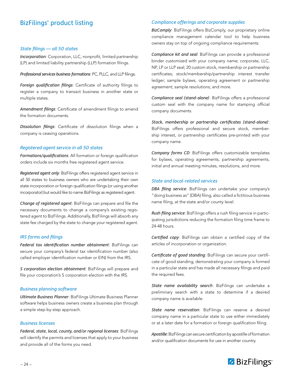## BizFilings' product listing

#### *State filings — all 50 states*

*Incorporation*: Corporation, LLC, nonprofit, limited partnership (LP) and limited liability partnership (LLP) formation filings.

*Professional services business formations*: PC, PLLC, and LLP filings.

*Foreign qualification filings*: Certificate of authority filings to register a company to transact business in another state or multiple states.

*Amendment filings*: Certificate of amendment filings to amend the formation documents.

*Dissolution filings*: Certificate of dissolution filings when a company is ceasing operations.

#### *Registered agent service in all 50 states*

*Formations/qualifications*: All formation or foreign qualification orders include six months free registered agent service.

*Registered agent only*: BizFilings offers registered agent service in all 50 states to business owners who are undertaking their own state incorporation or foreign qualification filings (or using another incorporator) but would like to name BizFilings as registered agent.

*Change of registered agent*: BizFilings can prepare and file the necessary documents to change a company's existing registered agent to BizFilings. Additionally, BizFilings will absorb any state fee charged by the state to change your registered agent.

#### *IRS forms and filings*

*Federal tax identification number obtainment*: BizFilings can secure your company's federal tax identification number (also called employer identification number or EIN) from the IRS.

*S corporation election obtainment*: BizFilings will prepare and file your corporation's S corporation election with the IRS.

#### **Business planning software**

*Ultimate Business Planner*: BizFilings Ultimate Business Planner software helps business owners create a business plan through a simple step-by-step approach.

#### *Business licenses*

*Federal, state, local, county, and/or regional licenses*: BizFilings will identify the permits and licenses that apply to your business and provide all of the forms you need.

#### **Compliance offerings and corporate supplies**

*BizComply*: BizFilings offers BizComply, our proprietary online compliance management calendar tool to help business owners stay on top of ongoing compliance requirements.

*Compliance kit and seal*: BizFilings can provide a professional binder customized with your company name; corporate, LLC, NP, LP or LLP seal; 20 custom stock, membership or partnership certificates; stock/membership/partnership interest transfer ledger; sample bylaws, operating agreement or partnership agreement; sample resolutions; and more.

*Compliance seal (stand-alone)*: BizFilings offers a professional custom seal with the company name for stamping official company documents.

*Stock, membership or partnership certificates (stand-alone)*: BizFilings offers professional and secure stock, membership interest, or partnership certificates pre-printed with your company name.

*Company forms CD*: BizFilings offers customizable templates for bylaws, operating agreements, partnership agreements, initial and annual meeting minutes, resolutions, and more.

#### *State and local-related services*

*DBA filing service*: BizFilings can undertake your company's "doing business as" (DBA) filing, also called a fictitious business name filing, at the state and/or county level.

*Rush filing service*: BizFilings offers a rush filing service in participating jurisdictions reducing the formation filing time frame to 24-48 hours.

*Certified copy*: BizFilings can obtain a certified copy of the articles of incorporation or organization.

*Certificate of good standing*: BizFilings can secure your certificate of good standing, demonstrating your company is formed in a particular state and has made all necessary filings and paid the required fees.

*State name availability search*: BizFilings can undertake a preliminary search with a state to determine if a desired company name is available.

*State name reservation*: BizFilings can reserve a desired company name in a particular state to use either immediately or at a later date for a formation or foreign qualification filing.

*Apostille*: BizFilings can secure certification by apostille of formation and/or qualification documents for use in another country.